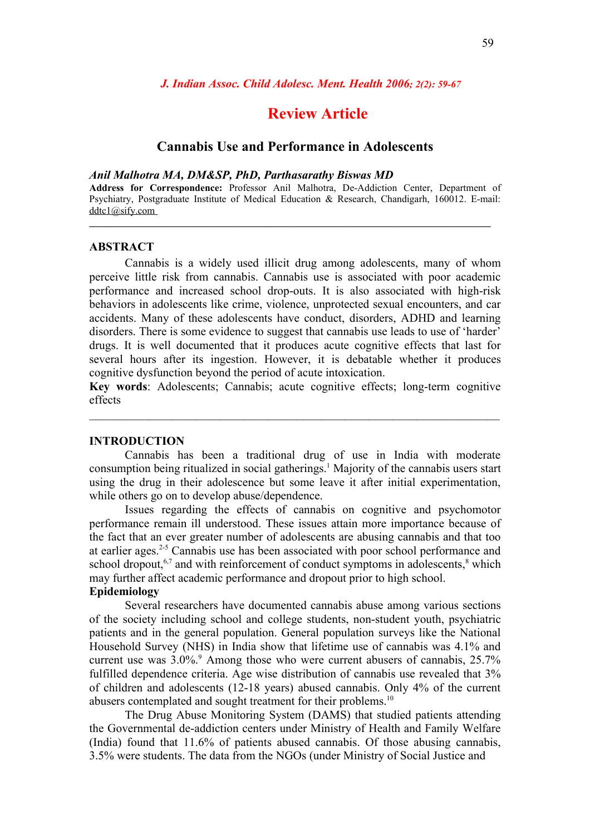# **Review Article**

## **Cannabis Use and Performance in Adolescents**

#### *Anil Malhotra MA, DM&SP, PhD, Parthasarathy Biswas MD*

**Address for Correspondence:** Professor Anil Malhotra, De-Addiction Center, Department of Psychiatry, Postgraduate Institute of Medical Education & Research, Chandigarh, 160012. E-mail: [ddtc1@sify.com](mailto:ddtc1@sify.com)

**\_\_\_\_\_\_\_\_\_\_\_\_\_\_\_\_\_\_\_\_\_\_\_\_\_\_\_\_\_\_\_\_\_\_\_\_\_\_\_\_\_\_\_\_\_\_\_\_\_\_\_\_\_\_\_\_\_\_\_\_\_\_\_\_\_\_\_\_\_\_\_\_\_\_\_\_\_\_\_\_\_**

#### **ABSTRACT**

Cannabis is a widely used illicit drug among adolescents, many of whom perceive little risk from cannabis. Cannabis use is associated with poor academic performance and increased school drop-outs. It is also associated with high-risk behaviors in adolescents like crime, violence, unprotected sexual encounters, and car accidents. Many of these adolescents have conduct, disorders, ADHD and learning disorders. There is some evidence to suggest that cannabis use leads to use of 'harder' drugs. It is well documented that it produces acute cognitive effects that last for several hours after its ingestion. However, it is debatable whether it produces cognitive dysfunction beyond the period of acute intoxication.

**Key words**: Adolescents; Cannabis; acute cognitive effects; long-term cognitive effects

 $\mathcal{L}_\text{max} = \frac{1}{2} \sum_{i=1}^n \mathcal{L}_\text{max}(\mathbf{z}_i - \mathbf{z}_i)$ 

#### **INTRODUCTION**

Cannabis has been a traditional drug of use in India with moderate consumption being ritualized in social gatherings. <sup>1</sup> Majority of the cannabis users start using the drug in their adolescence but some leave it after initial experimentation, while others go on to develop abuse/dependence.

Issues regarding the effects of cannabis on cognitive and psychomotor performance remain ill understood. These issues attain more importance because of the fact that an ever greater number of adolescents are abusing cannabis and that too at earlier ages. 2-5 Cannabis use has been associated with poor school performance and school dropout,<sup>6,7</sup> and with reinforcement of conduct symptoms in adolescents,<sup>8</sup> which may further affect academic performance and dropout prior to high school. **Epidemiology**

## Several researchers have documented cannabis abuse among various sections of the society including school and college students, non-student youth, psychiatric patients and in the general population. General population surveys like the National Household Survey (NHS) in India show that lifetime use of cannabis was 4.1% and current use was  $3.0\%$ . Among those who were current abusers of cannabis,  $25.7\%$ fulfilled dependence criteria. Age wise distribution of cannabis use revealed that 3% of children and adolescents (12-18 years) abused cannabis. Only 4% of the current abusers contemplated and sought treatment for their problems.<sup>10</sup>

The Drug Abuse Monitoring System (DAMS) that studied patients attending the Governmental de-addiction centers under Ministry of Health and Family Welfare (India) found that 11.6% of patients abused cannabis. Of those abusing cannabis, 3.5% were students. The data from the NGOs (under Ministry of Social Justice and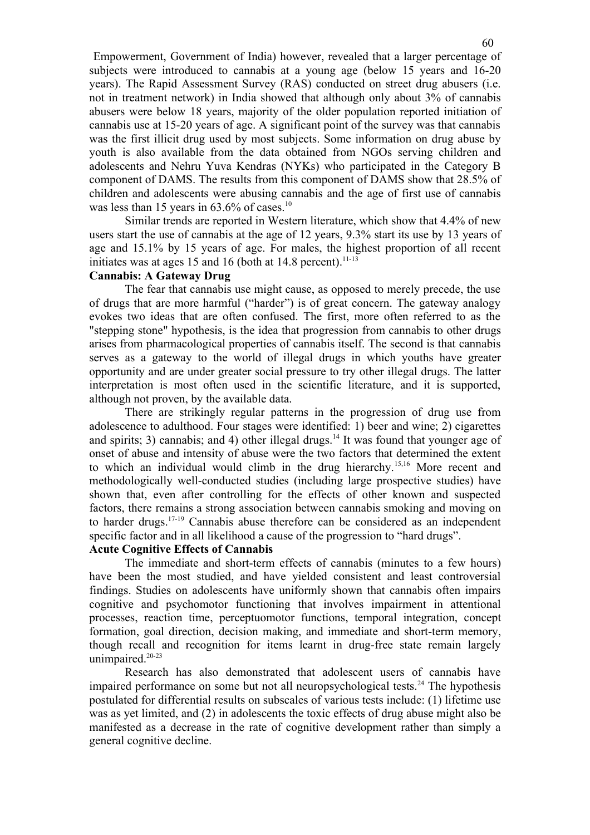Empowerment, Government of India) however, revealed that a larger percentage of subjects were introduced to cannabis at a young age (below 15 years and 16-20) years). The Rapid Assessment Survey (RAS) conducted on street drug abusers (i.e. not in treatment network) in India showed that although only about 3% of cannabis abusers were below 18 years, majority of the older population reported initiation of cannabis use at 15-20 years of age. A significant point of the survey was that cannabis was the first illicit drug used by most subjects. Some information on drug abuse by youth is also available from the data obtained from NGOs serving children and adolescents and Nehru Yuva Kendras (NYKs) who participated in the Category B component of DAMS. The results from this component of DAMS show that 28.5% of children and adolescents were abusing cannabis and the age of first use of cannabis was less than 15 years in 63.6% of cases.<sup>10</sup>

Similar trends are reported in Western literature, which show that 4.4% of new users start the use of cannabis at the age of 12 years, 9.3% start its use by 13 years of age and 15.1% by 15 years of age. For males, the highest proportion of all recent initiates was at ages 15 and 16 (both at  $14.8$  percent).<sup>11-13</sup>

#### **Cannabis: A Gateway Drug**

The fear that cannabis use might cause, as opposed to merely precede, the use of drugs that are more harmful ("harder") is of great concern. The gateway analogy evokes two ideas that are often confused. The first, more often referred to as the "stepping stone" hypothesis, is the idea that progression from cannabis to other drugs arises from pharmacological properties of cannabis itself. The second is that cannabis serves as a gateway to the world of illegal drugs in which youths have greater opportunity and are under greater social pressure to try other illegal drugs. The latter interpretation is most often used in the scientific literature, and it is supported, although not proven, by the available data.

There are strikingly regular patterns in the progression of drug use from adolescence to adulthood. Four stages were identified: 1) beer and wine; 2) cigarettes and spirits; 3) cannabis; and 4) other illegal drugs.<sup>14</sup> It was found that younger age of onset of abuse and intensity of abuse were the two factors that determined the extent to which an individual would climb in the drug hierarchy.15,16 More recent and methodologically well-conducted studies (including large prospective studies) have shown that, even after controlling for the effects of other known and suspected factors, there remains a strong association between cannabis smoking and moving on to harder drugs. 17-19 Cannabis abuse therefore can be considered as an independent specific factor and in all likelihood a cause of the progression to "hard drugs".

### **Acute Cognitive Effects of Cannabis**

The immediate and short-term effects of cannabis (minutes to a few hours) have been the most studied, and have yielded consistent and least controversial findings. Studies on adolescents have uniformly shown that cannabis often impairs cognitive and psychomotor functioning that involves impairment in attentional processes, reaction time, perceptuomotor functions, temporal integration, concept formation, goal direction, decision making, and immediate and short-term memory, though recall and recognition for items learnt in drug-free state remain largely unimpaired.<sup>20-23</sup>

Research has also demonstrated that adolescent users of cannabis have impaired performance on some but not all neuropsychological tests. <sup>24</sup> The hypothesis postulated for differential results on subscales of various tests include: (1) lifetime use was as yet limited, and (2) in adolescents the toxic effects of drug abuse might also be manifested as a decrease in the rate of cognitive development rather than simply a general cognitive decline.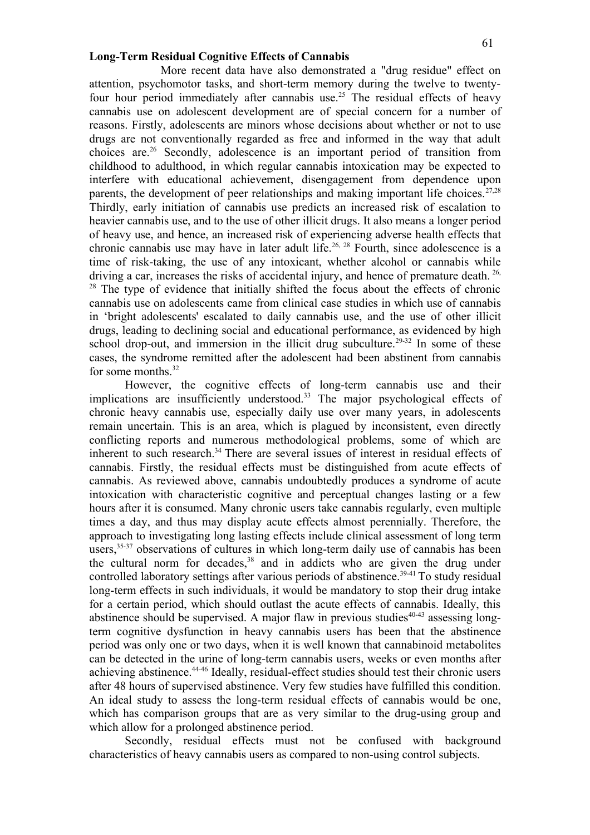#### **Long-Term Residual Cognitive Effects of Cannabis**

More recent data have also demonstrated a "drug residue" effect on attention, psychomotor tasks, and short-term memory during the twelve to twentyfour hour period immediately after cannabis use.<sup>25</sup> The residual effects of heavy cannabis use on adolescent development are of special concern for a number of reasons. Firstly, adolescents are minors whose decisions about whether or not to use drugs are not conventionally regarded as free and informed in the way that adult choices are. <sup>26</sup> Secondly, adolescence is an important period of transition from childhood to adulthood, in which regular cannabis intoxication may be expected to interfere with educational achievement, disengagement from dependence upon parents, the development of peer relationships and making important life choices.<sup>27,28</sup> Thirdly, early initiation of cannabis use predicts an increased risk of escalation to heavier cannabis use, and to the use of other illicit drugs. It also means a longer period of heavy use, and hence, an increased risk of experiencing adverse health effects that chronic cannabis use may have in later adult life. 26, <sup>28</sup> Fourth, since adolescence is a time of risk-taking, the use of any intoxicant, whether alcohol or cannabis while driving a car, increases the risks of accidental injury, and hence of premature death. <sup>26,</sup>  $28$  The type of evidence that initially shifted the focus about the effects of chronic cannabis use on adolescents came from clinical case studies in which use of cannabis in 'bright adolescents' escalated to daily cannabis use, and the use of other illicit drugs, leading to declining social and educational performance, as evidenced by high school drop-out, and immersion in the illicit drug subculture.<sup>29-32</sup> In some of these cases, the syndrome remitted after the adolescent had been abstinent from cannabis for some months.<sup>32</sup>

However, the cognitive effects of long-term cannabis use and their implications are insufficiently understood.<sup>33</sup> The major psychological effects of chronic heavy cannabis use, especially daily use over many years, in adolescents remain uncertain. This is an area, which is plagued by inconsistent, even directly conflicting reports and numerous methodological problems, some of which are inherent to such research.<sup>34</sup> There are several issues of interest in residual effects of cannabis. Firstly, the residual effects must be distinguished from acute effects of cannabis. As reviewed above, cannabis undoubtedly produces a syndrome of acute intoxication with characteristic cognitive and perceptual changes lasting or a few hours after it is consumed. Many chronic users take cannabis regularly, even multiple times a day, and thus may display acute effects almost perennially. Therefore, the approach to investigating long lasting effects include clinical assessment of long term users,<sup>35-37</sup> observations of cultures in which long-term daily use of cannabis has been the cultural norm for decades, 38 and in addicts who are given the drug under controlled laboratory settings after various periods of abstinence. 39-41 To study residual long-term effects in such individuals, it would be mandatory to stop their drug intake for a certain period, which should outlast the acute effects of cannabis. Ideally, this abstinence should be supervised. A major flaw in previous studies<sup>40-43</sup> assessing longterm cognitive dysfunction in heavy cannabis users has been that the abstinence period was only one or two days, when it is well known that cannabinoid metabolites can be detected in the urine of long-term cannabis users, weeks or even months after achieving abstinence.<sup>44-46</sup> Ideally, residual-effect studies should test their chronic users after 48 hours of supervised abstinence. Very few studies have fulfilled this condition. An ideal study to assess the long-term residual effects of cannabis would be one, which has comparison groups that are as very similar to the drug-using group and which allow for a prolonged abstinence period.

Secondly, residual effects must not be confused with background characteristics of heavy cannabis users as compared to non-using control subjects.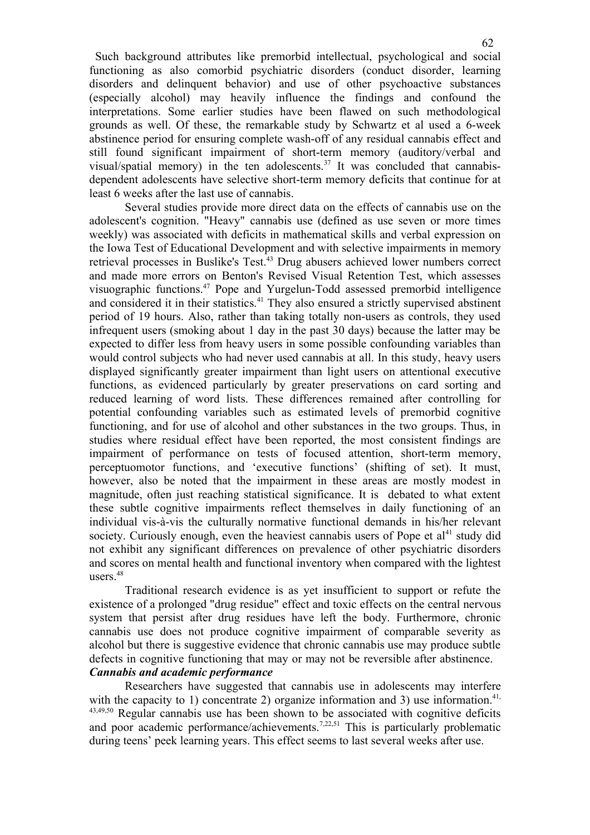Such background attributes like premorbid intellectual, psychological and social functioning as also comorbid psychiatric disorders (conduct disorder, learning disorders and delinquent behavior) and use of other psychoactive substances (especially alcohol) may heavily influence the findings and confound the interpretations. Some earlier studies have been flawed on such methodological grounds as well. Of these, the remarkable study by Schwartz et al used a 6-week abstinence period for ensuring complete wash-off of any residual cannabis effect and still found significant impairment of short-term memory (auditory/verbal and visual/spatial memory) in the ten adolescents. 37 It was concluded that cannabisdependent adolescents have selective short-term memory deficits that continue for at least 6 weeks after the last use of cannabis.

Several studies provide more direct data on the effects of cannabis use on the adolescent's cognition. "Heavy" cannabis use (defined as use seven or more times weekly) was associated with deficits in mathematical skills and verbal expression on the Iowa Test of Educational Development and with selective impairments in memory retrieval processes in Buslike's Test. <sup>43</sup> Drug abusers achieved lower numbers correct and made more errors on Benton's Revised Visual Retention Test, which assesses visuographic functions. <sup>47</sup> Pope and Yurgelun-Todd assessed premorbid intelligence and considered it in their statistics. <sup>41</sup> They also ensured a strictly supervised abstinent period of 19 hours. Also, rather than taking totally non-users as controls, they used infrequent users (smoking about 1 day in the past 30 days) because the latter may be expected to differ less from heavy users in some possible confounding variables than would control subjects who had never used cannabis at all. In this study, heavy users displayed significantly greater impairment than light users on attentional executive functions, as evidenced particularly by greater preservations on card sorting and reduced learning of word lists. These differences remained after controlling for potential confounding variables such as estimated levels of premorbid cognitive functioning, and for use of alcohol and other substances in the two groups. Thus, in studies where residual effect have been reported, the most consistent findings are impairment of performance on tests of focused attention, short-term memory, perceptuomotor functions, and 'executive functions' (shifting of set). It must, however, also be noted that the impairment in these areas are mostly modest in magnitude, often just reaching statistical significance. It is debated to what extent these subtle cognitive impairments reflect themselves in daily functioning of an individual vis-à-vis the culturally normative functional demands in his/her relevant society. Curiously enough, even the heaviest cannabis users of Pope et al<sup>41</sup> study did not exhibit any significant differences on prevalence of other psychiatric disorders and scores on mental health and functional inventory when compared with the lightest users. 48

Traditional research evidence is as yet insufficient to support or refute the existence of a prolonged "drug residue" effect and toxic effects on the central nervous system that persist after drug residues have left the body. Furthermore, chronic cannabis use does not produce cognitive impairment of comparable severity as alcohol but there is suggestive evidence that chronic cannabis use may produce subtle defects in cognitive functioning that may or may not be reversible after abstinence. *Cannabis and academic performance*

Researchers have suggested that cannabis use in adolescents may interfere with the capacity to 1) concentrate 2) organize information and 3) use information.<sup>41,</sup> 43,49,50 Regular cannabis use has been shown to be associated with cognitive deficits and poor academic performance/achievements.<sup>7,22,51</sup> This is particularly problematic during teens' peek learning years. This effect seems to last several weeks after use.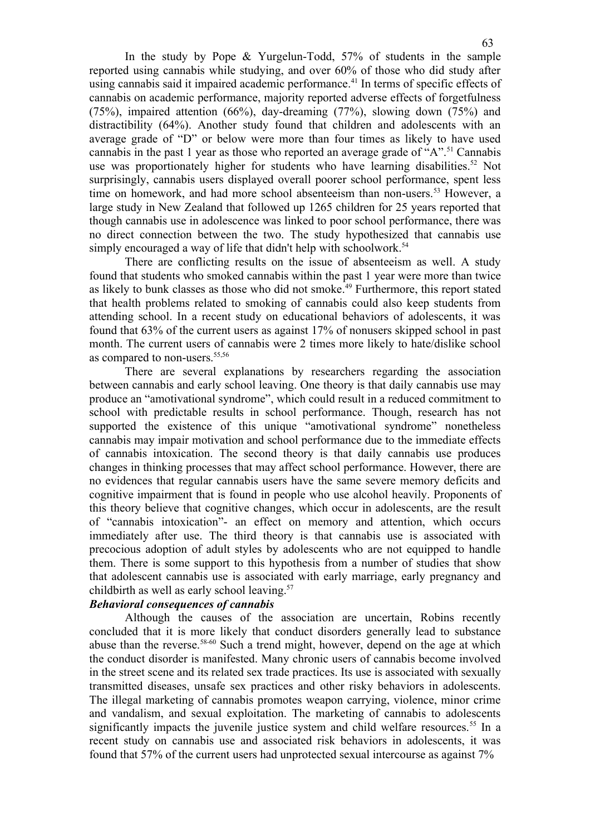In the study by Pope & Yurgelun-Todd, 57% of students in the sample reported using cannabis while studying, and over 60% of those who did study after using cannabis said it impaired academic performance. 41 In terms of specific effects of cannabis on academic performance, majority reported adverse effects of forgetfulness (75%), impaired attention (66%), day-dreaming (77%), slowing down (75%) and distractibility (64%). Another study found that children and adolescents with an average grade of "D" or below were more than four times as likely to have used cannabis in the past 1 year as those who reported an average grade of "A".<sup>51</sup> Cannabis use was proportionately higher for students who have learning disabilities.<sup>52</sup> Not surprisingly, cannabis users displayed overall poorer school performance, spent less time on homework, and had more school absenteeism than non-users.<sup>53</sup> However, a large study in New Zealand that followed up 1265 children for 25 years reported that though cannabis use in adolescence was linked to poor school performance, there was no direct connection between the two. The study hypothesized that cannabis use simply encouraged a way of life that didn't help with schoolwork.<sup>54</sup>

There are conflicting results on the issue of absenteeism as well. A study found that students who smoked cannabis within the past 1 year were more than twice as likely to bunk classes as those who did not smoke. <sup>49</sup> Furthermore, this report stated that health problems related to smoking of cannabis could also keep students from attending school. In a recent study on educational behaviors of adolescents, it was found that 63% of the current users as against 17% of nonusers skipped school in past month. The current users of cannabis were 2 times more likely to hate/dislike school as compared to non-users. 55,56

There are several explanations by researchers regarding the association between cannabis and early school leaving. One theory is that daily cannabis use may produce an "amotivational syndrome", which could result in a reduced commitment to school with predictable results in school performance. Though, research has not supported the existence of this unique "amotivational syndrome" nonetheless cannabis may impair motivation and school performance due to the immediate effects of cannabis intoxication. The second theory is that daily cannabis use produces changes in thinking processes that may affect school performance. However, there are no evidences that regular cannabis users have the same severe memory deficits and cognitive impairment that is found in people who use alcohol heavily. Proponents of this theory believe that cognitive changes, which occur in adolescents, are the result of "cannabis intoxication"- an effect on memory and attention, which occurs immediately after use. The third theory is that cannabis use is associated with precocious adoption of adult styles by adolescents who are not equipped to handle them. There is some support to this hypothesis from a number of studies that show that adolescent cannabis use is associated with early marriage, early pregnancy and childbirth as well as early school leaving.<sup>57</sup>

### *Behavioral consequences of cannabis*

Although the causes of the association are uncertain, Robins recently concluded that it is more likely that conduct disorders generally lead to substance abuse than the reverse.<sup>58-60</sup> Such a trend might, however, depend on the age at which the conduct disorder is manifested. Many chronic users of cannabis become involved in the street scene and its related sex trade practices. Its use is associated with sexually transmitted diseases, unsafe sex practices and other risky behaviors in adolescents. The illegal marketing of cannabis promotes weapon carrying, violence, minor crime and vandalism, and sexual exploitation. The marketing of cannabis to adolescents significantly impacts the juvenile justice system and child welfare resources.<sup>55</sup> In a recent study on cannabis use and associated risk behaviors in adolescents, it was found that 57% of the current users had unprotected sexual intercourse as against 7%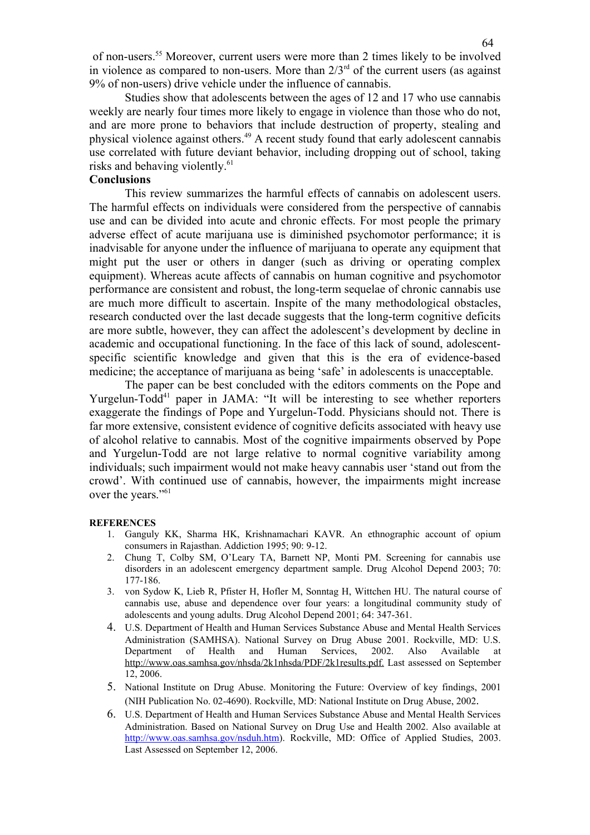of non-users. <sup>55</sup> Moreover, current users were more than 2 times likely to be involved in violence as compared to non-users. More than  $2/3<sup>rd</sup>$  of the current users (as against 9% of non-users) drive vehicle under the influence of cannabis.

Studies show that adolescents between the ages of 12 and 17 who use cannabis weekly are nearly four times more likely to engage in violence than those who do not, and are more prone to behaviors that include destruction of property, stealing and physical violence against others. <sup>49</sup> A recent study found that early adolescent cannabis use correlated with future deviant behavior, including dropping out of school, taking risks and behaving violently.<sup>61</sup>

### **Conclusions**

This review summarizes the harmful effects of cannabis on adolescent users. The harmful effects on individuals were considered from the perspective of cannabis use and can be divided into acute and chronic effects. For most people the primary adverse effect of acute marijuana use is diminished psychomotor performance; it is inadvisable for anyone under the influence of marijuana to operate any equipment that might put the user or others in danger (such as driving or operating complex equipment). Whereas acute affects of cannabis on human cognitive and psychomotor performance are consistent and robust, the long-term sequelae of chronic cannabis use are much more difficult to ascertain. Inspite of the many methodological obstacles, research conducted over the last decade suggests that the long-term cognitive deficits are more subtle, however, they can affect the adolescent's development by decline in academic and occupational functioning. In the face of this lack of sound, adolescentspecific scientific knowledge and given that this is the era of evidence-based medicine; the acceptance of marijuana as being 'safe' in adolescents is unacceptable.

The paper can be best concluded with the editors comments on the Pope and Yurgelun-Todd<sup>41</sup> paper in JAMA: "It will be interesting to see whether reporters exaggerate the findings of Pope and Yurgelun-Todd. Physicians should not. There is far more extensive, consistent evidence of cognitive deficits associated with heavy use of alcohol relative to cannabis. Most of the cognitive impairments observed by Pope and Yurgelun-Todd are not large relative to normal cognitive variability among individuals; such impairment would not make heavy cannabis user 'stand out from the crowd'. With continued use of cannabis, however, the impairments might increase over the years."<sup>61</sup>

#### **REFERENCES**

- 1. Ganguly KK, Sharma HK, Krishnamachari KAVR. An ethnographic account of opium consumers in Rajasthan. Addiction 1995; 90: 9-12.
- 2. Chung T, Colby SM, O'Leary TA, Barnett NP, Monti PM. Screening for cannabis use disorders in an adolescent emergency department sample. Drug Alcohol Depend 2003; 70: 177-186.
- 3. von Sydow K, Lieb R, Pfister H, Hofler M, Sonntag H, Wittchen HU. The natural course of cannabis use, abuse and dependence over four years: a longitudinal community study of adolescents and young adults. Drug Alcohol Depend 2001; 64: 347-361.
- 4. U.S. Department of Health and Human Services Substance Abuse and Mental Health Services Administration (SAMHSA). National Survey on Drug Abuse 2001. Rockville, MD: U.S. Department of Health and Human Services, 2002. Also Available at http://www.oas.samhsa.gov/nhsda/2k1nhsda/PDF/2k1results.pdf. Last assessed on September 12, 2006.
- 5. National Institute on Drug Abuse. Monitoring the Future: Overview of key findings, 2001 (NIH Publication No. 02-4690). Rockville, MD: National Institute on Drug Abuse, 2002.
- 6. U.S. Department of Health and Human Services Substance Abuse and Mental Health Services Administration. Based on National Survey on Drug Use and Health 2002. Also available at [http://www.oas.samhsa.gov/nsduh.htm\)](http://www.oas.samhsa.gov/nsduh.htm). Rockville, MD: Office of Applied Studies, 2003. Last Assessed on September 12, 2006.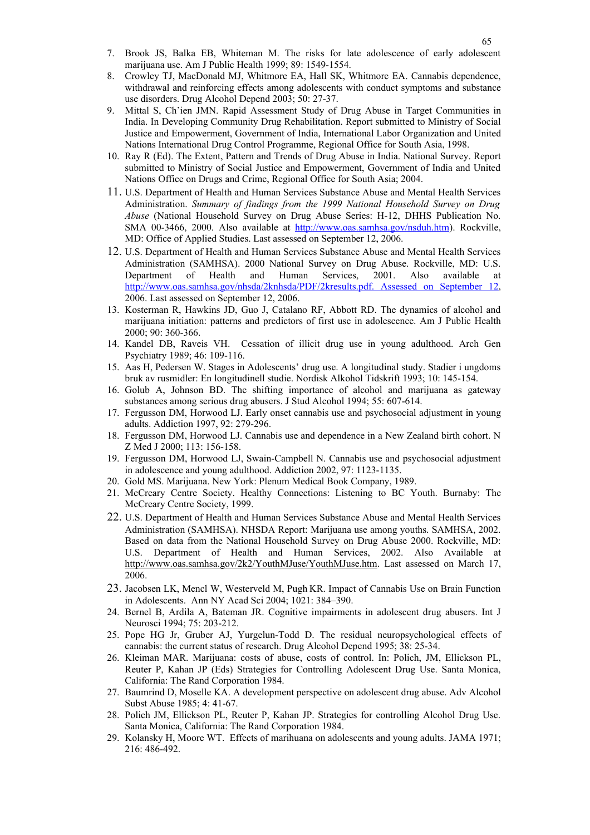- 7. Brook JS, Balka EB, Whiteman M. The risks for late adolescence of early adolescent marijuana use. Am J Public Health 1999; 89: 1549-1554.
- 8. Crowley TJ, MacDonald MJ, Whitmore EA, Hall SK, Whitmore EA. Cannabis dependence, withdrawal and reinforcing effects among adolescents with conduct symptoms and substance use disorders. Drug Alcohol Depend 2003; 50: 27-37.
- 9. Mittal S, Ch'ien JMN. Rapid Assessment Study of Drug Abuse in Target Communities in India. In Developing Community Drug Rehabilitation. Report submitted to Ministry of Social Justice and Empowerment, Government of India, International Labor Organization and United Nations International Drug Control Programme, Regional Office for South Asia, 1998.
- 10. Ray R (Ed). The Extent, Pattern and Trends of Drug Abuse in India. National Survey. Report submitted to Ministry of Social Justice and Empowerment, Government of India and United Nations Office on Drugs and Crime, Regional Office for South Asia; 2004.
- 11. U.S. Department of Health and Human Services Substance Abuse and Mental Health Services Administration. *Summary of findings from the 1999 National Household Survey on Drug Abuse* (National Household Survey on Drug Abuse Series: H-12, DHHS Publication No. SMA 00-3466, 2000. Also available at <http://www.oas.samhsa.gov/nsduh.htm>). Rockville, MD: Office of Applied Studies. Last assessed on September 12, 2006.
- 12. U.S. Department of Health and Human Services Substance Abuse and Mental Health Services Administration (SAMHSA). 2000 National Survey on Drug Abuse. Rockville, MD: U.S. Department of Health and Human Services, 2001. Also available at [http://www.oas.samhsa.gov/nhsda/2knhsda/PDF/2kresults.pdf.](http://www.oas.samhsa.gov/nhsda/2knhsda/PDF/2kresults.pdf. Assessed on September 12) Assessed on September 12, 2006. Last assessed on September 12, 2006.
- 13. Kosterman R, Hawkins JD, Guo J, Catalano RF, Abbott RD. The dynamics of alcohol and marijuana initiation: patterns and predictors of first use in adolescence. Am J Public Health 2000; 90: 360-366.
- 14. Kandel DB, Raveis VH. Cessation of illicit drug use in young adulthood. Arch Gen Psychiatry 1989; 46: 109-116.
- 15. Aas H, Pedersen W. Stages in Adolescents' drug use. A longitudinal study. Stadier i ungdoms bruk av rusmidler: En longitudinell studie. Nordisk Alkohol Tidskrift 1993; 10: 145-154.
- 16. Golub A, Johnson BD. The shifting importance of alcohol and marijuana as gateway substances among serious drug abusers. J Stud Alcohol 1994; 55: 607-614.
- 17. Fergusson DM, Horwood LJ. Early onset cannabis use and psychosocial adjustment in young adults. Addiction 1997, 92: 279-296.
- 18. Fergusson DM, Horwood LJ. Cannabis use and dependence in a New Zealand birth cohort. N Z Med J 2000; 113: 156-158.
- 19. Fergusson DM, Horwood LJ, Swain-Campbell N. Cannabis use and psychosocial adjustment in adolescence and young adulthood. Addiction 2002, 97: 1123-1135.
- 20. Gold MS. Marijuana. New York: Plenum Medical Book Company, 1989.
- 21. McCreary Centre Society. Healthy Connections: Listening to BC Youth. Burnaby: The McCreary Centre Society, 1999.
- 22. U.S. Department of Health and Human Services Substance Abuse and Mental Health Services Administration (SAMHSA). NHSDA Report: Marijuana use among youths. SAMHSA, 2002. Based on data from the National Household Survey on Drug Abuse 2000. Rockville, MD: U.S. Department of Health and Human Services, 2002. Also Available at <http://www.oas.samhsa.gov/2k2/YouthMJuse/YouthMJuse.htm>. Last assessed on March 17, 2006.
- 23. Jacobsen LK, Mencl W, Westerveld M, Pugh KR. Impact of Cannabis Use on Brain Function in Adolescents. Ann NY Acad Sci 2004; 1021: 384–390.
- 24. Bernel B, Ardila A, Bateman JR. Cognitive impairments in adolescent drug abusers. Int J Neurosci 1994; 75: 203-212.
- 25. Pope HG Jr, Gruber AJ, Yurgelun-Todd D. The residual neuropsychological effects of cannabis: the current status of research. Drug Alcohol Depend 1995; 38: 25-34.
- 26. Kleiman MAR. Marijuana: costs of abuse, costs of control. In: Polich, JM, Ellickson PL, Reuter P, Kahan JP (Eds) Strategies for Controlling Adolescent Drug Use. Santa Monica, California: The Rand Corporation 1984.
- 27. Baumrind D, Moselle KA. A development perspective on adolescent drug abuse. Adv Alcohol Subst Abuse 1985; 4: 41-67.
- 28. Polich JM, Ellickson PL, Reuter P, Kahan JP. Strategies for controlling Alcohol Drug Use. Santa Monica, California: The Rand Corporation 1984.
- 29. Kolansky H, Moore WT. Effects of marihuana on adolescents and young adults. JAMA 1971; 216: 486-492.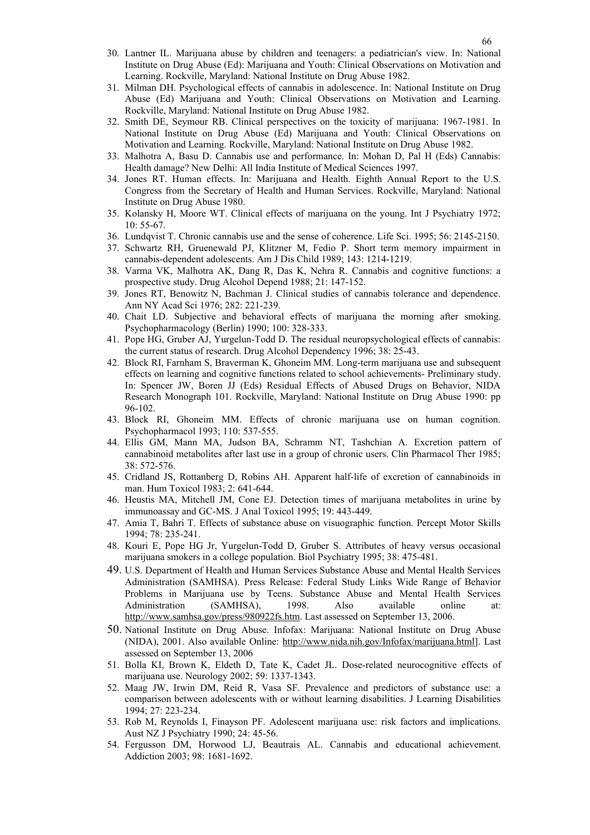- 30. Lantner IL. Marijuana abuse by children and teenagers: a pediatrician's view. In: National Institute on Drug Abuse (Ed): Marijuana and Youth: Clinical Observations on Motivation and Learning. Rockville, Maryland: National Institute on Drug Abuse 1982.
- 31. Milman DH. Psychological effects of cannabis in adolescence. In: National Institute on Drug Abuse (Ed) Marijuana and Youth: Clinical Observations on Motivation and Learning. Rockville, Maryland: National Institute on Drug Abuse 1982.
- 32. Smith DE, Seymour RB. Clinical perspectives on the toxicity of marijuana: 1967-1981. In National Institute on Drug Abuse (Ed) Marijuana and Youth: Clinical Observations on Motivation and Learning. Rockville, Maryland: National Institute on Drug Abuse 1982.
- 33. Malhotra A, Basu D. Cannabis use and performance. In: Mohan D, Pal H (Eds) Cannabis: Health damage? New Delhi: All India Institute of Medical Sciences 1997.
- 34. Jones RT. Human effects. In: Marijuana and Health. Eighth Annual Report to the U.S. Congress from the Secretary of Health and Human Services. Rockville, Maryland: National Institute on Drug Abuse 1980.
- 35. Kolansky H, Moore WT. Clinical effects of marijuana on the young. Int J Psychiatry 1972; 10: 55-67.
- 36. Lundqvist T. Chronic cannabis use and the sense of coherence. Life Sci. 1995; 56: 2145-2150.
- 37. Schwartz RH, Gruenewald PJ, Klitzner M, Fedio P. Short term memory impairment in cannabis-dependent adolescents. Am J Dis Child 1989; 143: 1214-1219.
- 38. Varma VK, Malhotra AK, Dang R, Das K, Nehra R. Cannabis and cognitive functions: a prospective study. Drug Alcohol Depend 1988; 21: 147-152.
- 39. Jones RT, Benowitz N, Bachman J. Clinical studies of cannabis tolerance and dependence. Ann NY Acad Sci 1976; 282: 221-239.
- 40. Chait LD. Subjective and behavioral effects of marijuana the morning after smoking. Psychopharmacology (Berlin) 1990; 100: 328-333.
- 41. Pope HG, Gruber AJ, Yurgelun-Todd D. The residual neuropsychological effects of cannabis: the current status of research. Drug Alcohol Dependency 1996; 38: 25-43.
- 42. Block RI, Farnham S, Braverman K, Ghoneim MM. Long-term marijuana use and subsequent effects on learning and cognitive functions related to school achievements- Preliminary study. In: Spencer JW, Boren JJ (Eds) Residual Effects of Abused Drugs on Behavior, NIDA Research Monograph 101. Rockville, Maryland: National Institute on Drug Abuse 1990: pp 96-102.
- 43. Block RI, Ghoneim MM. Effects of chronic marijuana use on human cognition. Psychopharmacol 1993; 110: 537-555.
- 44. Ellis GM, Mann MA, Judson BA, Schramm NT, Tashchian A. Excretion pattern of cannabinoid metabolites after last use in a group of chronic users. Clin Pharmacol Ther 1985; 38: 572-576.
- 45. Cridland JS, Rottanberg D, Robins AH. Apparent half-life of excretion of cannabinoids in man. Hum Toxicol 1983; 2: 641-644.
- 46. Heustis MA, Mitchell JM, Cone EJ. Detection times of marijuana metabolites in urine by immunoassay and GC-MS. J Anal Toxicol 1995; 19: 443-449.
- 47. Amia T, Bahri T. Effects of substance abuse on visuographic function. Percept Motor Skills 1994; 78: 235-241.
- 48. Kouri E, Pope HG Jr, Yurgelun-Todd D, Gruber S. Attributes of heavy versus occasional marijuana smokers in a college population. Biol Psychiatry 1995; 38: 475-481.
- 49. U.S. Department of Health and Human Services Substance Abuse and Mental Health Services Administration (SAMHSA). Press Release: Federal Study Links Wide Range of Behavior Problems in Marijuana use by Teens. Substance Abuse and Mental Health Services Administration (SAMHSA), 1998. Also available online at: <http://www.samhsa.gov/press/980922fs.htm>. Last assessed on September 13, 2006.
- 50. National Institute on Drug Abuse. Infofax: Marijuana: National Institute on Drug Abuse (NIDA), 2001. Also available Online: [http://www.nida.nih.gov/Infofax/marijuana.html\]](http://www.nida.nih.gov/Infofax/marijuana.html). Last assessed on September 13, 2006
- 51. Bolla KI, Brown K, Eldeth D, Tate K, Cadet JL. Dose-related neurocognitive effects of marijuana use. Neurology 2002; 59: 1337-1343.
- 52. Maag JW, Irwin DM, Reid R, Vasa SF. Prevalence and predictors of substance use: a comparison between adolescents with or without learning disabilities. J Learning Disabilities 1994; 27: 223-234.
- 53. Rob M, Reynolds I, Finayson PF. Adolescent marijuana use: risk factors and implications. Aust NZ J Psychiatry 1990; 24: 45-56.
- 54. Fergusson DM, Horwood LJ, Beautrais AL. Cannabis and educational achievement. Addiction 2003; 98: 1681-1692.